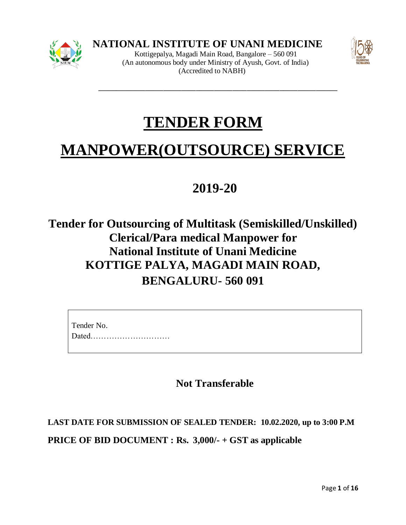

**NATIONAL INSTITUTE OF UNANI MEDICINE**

Kottigepalya, Magadi Main Road, Bangalore – 560 091 (An autonomous body under Ministry of Ayush, Govt. of India) (Accredited to NABH)



# **TENDER FORM**

 $\frac{1}{2}$  ,  $\frac{1}{2}$  ,  $\frac{1}{2}$  ,  $\frac{1}{2}$  ,  $\frac{1}{2}$  ,  $\frac{1}{2}$  ,  $\frac{1}{2}$  ,  $\frac{1}{2}$  ,  $\frac{1}{2}$  ,  $\frac{1}{2}$  ,  $\frac{1}{2}$  ,  $\frac{1}{2}$  ,  $\frac{1}{2}$  ,  $\frac{1}{2}$  ,  $\frac{1}{2}$  ,  $\frac{1}{2}$  ,  $\frac{1}{2}$  ,  $\frac{1}{2}$  ,  $\frac{1$ 

# **MANPOWER(OUTSOURCE) SERVICE**

# **2019-20**

# **Tender for Outsourcing of Multitask (Semiskilled/Unskilled) Clerical/Para medical Manpower for National Institute of Unani Medicine KOTTIGE PALYA, MAGADI MAIN ROAD, BENGALURU- 560 091**

| Tender No. |  |
|------------|--|
| Dated      |  |

**Not Transferable** 

**LAST DATE FOR SUBMISSION OF SEALED TENDER: 10.02.2020, up to 3:00 P.M PRICE OF BID DOCUMENT : Rs. 3,000/- + GST as applicable**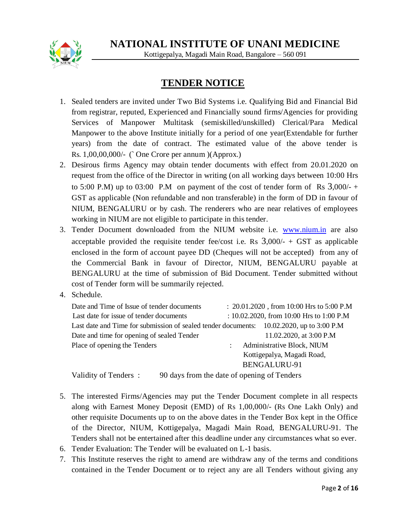

**NATIONAL INSTITUTE OF UNANI MEDICINE**

Kottigepalya, Magadi Main Road, Bangalore – 560 091

## **TENDER NOTICE**

- 1. Sealed tenders are invited under Two Bid Systems i.e. Qualifying Bid and Financial Bid from registrar, reputed, Experienced and Financially sound firms/Agencies for providing Services of Manpower Multitask (semiskilled/unskilled) Clerical/Para Medical Manpower to the above Institute initially for a period of one year(Extendable for further years) from the date of contract. The estimated value of the above tender is Rs. 1,00,00,000/- (` One Crore per annum )(Approx.)
- 2. Desirous firms Agency may obtain tender documents with effect from 20.01.2020 on request from the office of the Director in writing (on all working days between 10:00 Hrs to 5:00 P.M) up to 03:00 P.M on payment of the cost of tender form of Rs  $3,000/ +$ GST as applicable (Non refundable and non transferable) in the form of DD in favour of NIUM, BENGALURU or by cash. The renderers who are near relatives of employees working in NIUM are not eligible to participate in this tender.
- 3. Tender Document downloaded from the NIUM website i.e. [www.nium.in](http://www.nium.in/) are also acceptable provided the requisite tender fee/cost i.e. Rs  $3,000/ - +$  GST as applicable enclosed in the form of account payee DD (Cheques will not be accepted) from any of the Commercial Bank in favour of Director, NIUM, BENGALURU payable at BENGALURU at the time of submission of Bid Document. Tender submitted without cost of Tender form will be summarily rejected.
- 4. Schedule.

| Date and Time of Issue of tender documents                                               | $: 20.01.2020$ , from 10:00 Hrs to 5:00 P.M     |
|------------------------------------------------------------------------------------------|-------------------------------------------------|
| Last date for issue of tender documents                                                  | : $10.02.2020$ , from $10:00$ Hrs to $1:00$ P.M |
| Last date and Time for submission of sealed tender documents: 10.02.2020, up to 3:00 P.M |                                                 |
| Date and time for opening of sealed Tender                                               | 11.02.2020, at 3:00 P.M                         |
| Place of opening the Tenders                                                             | Administrative Block, NIUM                      |
|                                                                                          | Kottigepalya, Magadi Road,                      |
|                                                                                          | BENGALURU-91                                    |
| Validity of Tenders:                                                                     | 90 days from the date of opening of Tenders     |

- 5. The interested Firms/Agencies may put the Tender Document complete in all respects along with Earnest Money Deposit (EMD) of Rs 1,00,000/- (Rs One Lakh Only) and other requisite Documents up to on the above dates in the Tender Box kept in the Office of the Director, NIUM, Kottigepalya, Magadi Main Road, BENGALURU-91. The Tenders shall not be entertained after this deadline under any circumstances what so ever.
- 6. Tender Evaluation: The Tender will be evaluated on L-1 basis.
- 7. This Institute reserves the right to amend are withdraw any of the terms and conditions contained in the Tender Document or to reject any are all Tenders without giving any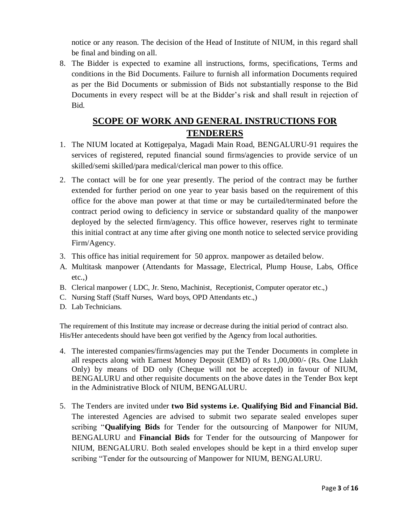notice or any reason. The decision of the Head of Institute of NIUM, in this regard shall be final and binding on all.

8. The Bidder is expected to examine all instructions, forms, specifications, Terms and conditions in the Bid Documents. Failure to furnish all information Documents required as per the Bid Documents or submission of Bids not substantially response to the Bid Documents in every respect will be at the Bidder's risk and shall result in rejection of Bid.

## **SCOPE OF WORK AND GENERAL INSTRUCTIONS FOR TENDERERS**

- 1. The NIUM located at Kottigepalya, Magadi Main Road, BENGALURU-91 requires the services of registered, reputed financial sound firms/agencies to provide service of un skilled/semi skilled/para medical/clerical man power to this office.
- 2. The contact will be for one year presently. The period of the contract may be further extended for further period on one year to year basis based on the requirement of this office for the above man power at that time or may be curtailed/terminated before the contract period owing to deficiency in service or substandard quality of the manpower deployed by the selected firm/agency. This office however, reserves right to terminate this initial contract at any time after giving one month notice to selected service providing Firm/Agency.
- 3. This office has initial requirement for 50 approx. manpower as detailed below.
- A. Multitask manpower (Attendants for Massage, Electrical, Plump House, Labs, Office etc.,)
- B. Clerical manpower ( LDC, Jr. Steno, Machinist, Receptionist, Computer operator etc.,)
- C. Nursing Staff (Staff Nurses, Ward boys, OPD Attendants etc.,)
- D. Lab Technicians.

The requirement of this Institute may increase or decrease during the initial period of contract also. His/Her antecedents should have been got verified by the Agency from local authorities.

- 4. The interested companies/firms/agencies may put the Tender Documents in complete in all respects along with Earnest Money Deposit (EMD) of Rs 1,00,000/- (Rs. One Llakh Only) by means of DD only (Cheque will not be accepted) in favour of NIUM, BENGALURU and other requisite documents on the above dates in the Tender Box kept in the Administrative Block of NIUM, BENGALURU.
- 5. The Tenders are invited under **two Bid systems i.e. Qualifying Bid and Financial Bid.**  The interested Agencies are advised to submit two separate sealed envelopes super scribing "**Qualifying Bids** for Tender for the outsourcing of Manpower for NIUM, BENGALURU and **Financial Bids** for Tender for the outsourcing of Manpower for NIUM, BENGALURU. Both sealed envelopes should be kept in a third envelop super scribing "Tender for the outsourcing of Manpower for NIUM, BENGALURU.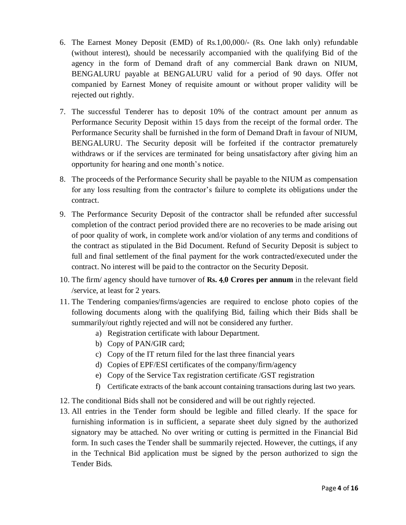- 6. The Earnest Money Deposit (EMD) of Rs.1,00,000/- (Rs. One lakh only) refundable (without interest), should be necessarily accompanied with the qualifying Bid of the agency in the form of Demand draft of any commercial Bank drawn on NIUM, BENGALURU payable at BENGALURU valid for a period of 90 days. Offer not companied by Earnest Money of requisite amount or without proper validity will be rejected out rightly.
- 7. The successful Tenderer has to deposit 10% of the contract amount per annum as Performance Security Deposit within 15 days from the receipt of the formal order. The Performance Security shall be furnished in the form of Demand Draft in favour of NIUM, BENGALURU. The Security deposit will be forfeited if the contractor prematurely withdraws or if the services are terminated for being unsatisfactory after giving him an opportunity for hearing and one month's notice.
- 8. The proceeds of the Performance Security shall be payable to the NIUM as compensation for any loss resulting from the contractor's failure to complete its obligations under the contract.
- 9. The Performance Security Deposit of the contractor shall be refunded after successful completion of the contract period provided there are no recoveries to be made arising out of poor quality of work, in complete work and/or violation of any terms and conditions of the contract as stipulated in the Bid Document. Refund of Security Deposit is subject to full and final settlement of the final payment for the work contracted/executed under the contract. No interest will be paid to the contractor on the Security Deposit.
- 10. The firm/ agency should have turnover of **Rs.** 4.**0 Crores per annum** in the relevant field /service, at least for 2 years.
- 11. The Tendering companies/firms/agencies are required to enclose photo copies of the following documents along with the qualifying Bid, failing which their Bids shall be summarily/out rightly rejected and will not be considered any further.
	- a) Registration certificate with labour Department.
	- b) Copy of PAN/GIR card;
	- c) Copy of the IT return filed for the last three financial years
	- d) Copies of EPF/ESI certificates of the company/firm/agency
	- e) Copy of the Service Tax registration certificate /GST registration
	- f) Certificate extracts of the bank account containing transactions during last two years.
- 12. The conditional Bids shall not be considered and will be out rightly rejected.
- 13. All entries in the Tender form should be legible and filled clearly. If the space for furnishing information is in sufficient, a separate sheet duly signed by the authorized signatory may be attached. No over writing or cutting is permitted in the Financial Bid form. In such cases the Tender shall be summarily rejected. However, the cuttings, if any in the Technical Bid application must be signed by the person authorized to sign the Tender Bids.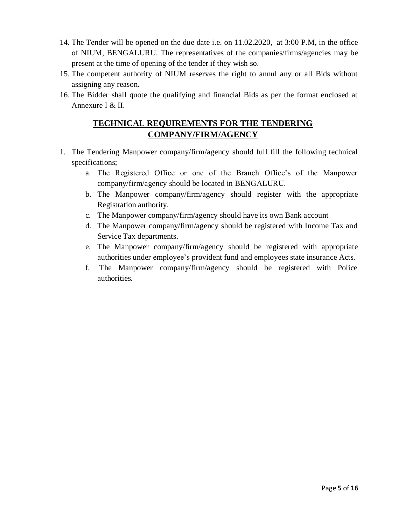- 14. The Tender will be opened on the due date i.e. on 11.02.2020, at 3:00 P.M, in the office of NIUM, BENGALURU. The representatives of the companies/firms/agencies may be present at the time of opening of the tender if they wish so.
- 15. The competent authority of NIUM reserves the right to annul any or all Bids without assigning any reason.
- 16. The Bidder shall quote the qualifying and financial Bids as per the format enclosed at Annexure I & II.

### **TECHNICAL REQUIREMENTS FOR THE TENDERING COMPANY/FIRM/AGENCY**

- 1. The Tendering Manpower company/firm/agency should full fill the following technical specifications;
	- a. The Registered Office or one of the Branch Office's of the Manpower company/firm/agency should be located in BENGALURU.
	- b. The Manpower company/firm/agency should register with the appropriate Registration authority.
	- c. The Manpower company/firm/agency should have its own Bank account
	- d. The Manpower company/firm/agency should be registered with Income Tax and Service Tax departments.
	- e. The Manpower company/firm/agency should be registered with appropriate authorities under employee's provident fund and employees state insurance Acts.
	- f. The Manpower company/firm/agency should be registered with Police authorities.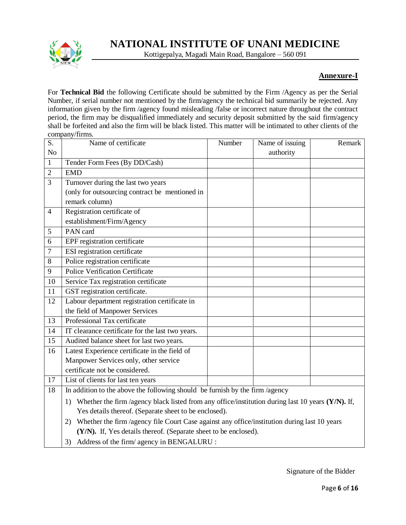

## **NATIONAL INSTITUTE OF UNANI MEDICINE**

Kottigepalya, Magadi Main Road, Bangalore – 560 091

#### **Annexure-I**

For **Technical Bid** the following Certificate should be submitted by the Firm /Agency as per the Serial Number, if serial number not mentioned by the firm/agency the technical bid summarily be rejected. Any information given by the firm /agency found misleading /false or incorrect nature throughout the contract period, the firm may be disqualified immediately and security deposit submitted by the said firm/agency shall be forfeited and also the firm will be black listed. This matter will be intimated to other clients of the company/firms.

| S.             | Name of certificate                                                                                     | Number | Name of issuing | Remark |
|----------------|---------------------------------------------------------------------------------------------------------|--------|-----------------|--------|
| N <sub>o</sub> |                                                                                                         |        | authority       |        |
| $\mathbf{1}$   | Tender Form Fees (By DD/Cash)                                                                           |        |                 |        |
| $\overline{2}$ | <b>EMD</b>                                                                                              |        |                 |        |
| 3              | Turnover during the last two years                                                                      |        |                 |        |
|                | (only for outsourcing contract be mentioned in                                                          |        |                 |        |
|                | remark column)                                                                                          |        |                 |        |
| $\overline{4}$ | Registration certificate of                                                                             |        |                 |        |
|                | establishment/Firm/Agency                                                                               |        |                 |        |
| 5              | PAN card                                                                                                |        |                 |        |
| 6              | EPF registration certificate                                                                            |        |                 |        |
| 7              | ESI registration certificate                                                                            |        |                 |        |
| 8              | Police registration certificate                                                                         |        |                 |        |
| 9              | <b>Police Verification Certificate</b>                                                                  |        |                 |        |
| 10             | Service Tax registration certificate                                                                    |        |                 |        |
| 11             | GST registration certificate.                                                                           |        |                 |        |
| 12             | Labour department registration certificate in                                                           |        |                 |        |
|                | the field of Manpower Services                                                                          |        |                 |        |
| 13             | Professional Tax certificate                                                                            |        |                 |        |
| 14             | IT clearance certificate for the last two years.                                                        |        |                 |        |
| 15             | Audited balance sheet for last two years.                                                               |        |                 |        |
| 16             | Latest Experience certificate in the field of                                                           |        |                 |        |
|                | Manpower Services only, other service                                                                   |        |                 |        |
|                | certificate not be considered.                                                                          |        |                 |        |
| 17             | List of clients for last ten years                                                                      |        |                 |        |
| 18             | In addition to the above the following should be furnish by the firm /agency                            |        |                 |        |
|                | Whether the firm /agency black listed from any office/institution during last 10 years (Y/N). If,<br>1) |        |                 |        |
|                | Yes details thereof. (Separate sheet to be enclosed).                                                   |        |                 |        |
|                | Whether the firm /agency file Court Case against any office/institution during last 10 years<br>2)      |        |                 |        |
|                | (Y/N). If, Yes details thereof. (Separate sheet to be enclosed).                                        |        |                 |        |
|                | Address of the firm/ agency in BENGALURU:<br>3)                                                         |        |                 |        |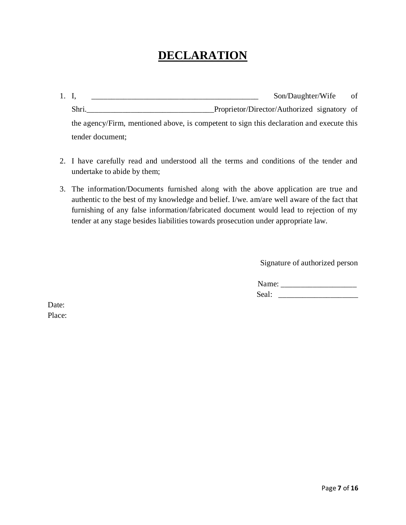# **DECLARATION**

- 1. I, \_\_\_\_\_\_\_\_\_\_\_\_\_\_\_\_\_\_\_\_\_\_\_\_\_\_\_\_\_\_\_\_\_\_\_\_\_\_\_\_\_\_ Son/Daughter/Wife of Shri.\_\_\_\_\_\_\_\_\_\_\_\_\_\_\_\_\_\_\_\_\_\_\_\_\_\_\_\_\_\_\_\_Proprietor/Director/Authorized signatory of the agency/Firm, mentioned above, is competent to sign this declaration and execute this tender document;
- 2. I have carefully read and understood all the terms and conditions of the tender and undertake to abide by them;
- 3. The information/Documents furnished along with the above application are true and authentic to the best of my knowledge and belief. I/we. am/are well aware of the fact that furnishing of any false information/fabricated document would lead to rejection of my tender at any stage besides liabilities towards prosecution under appropriate law.

Signature of authorized person

| Name:            |  |
|------------------|--|
| S <sub>Pa1</sub> |  |

Date: Place: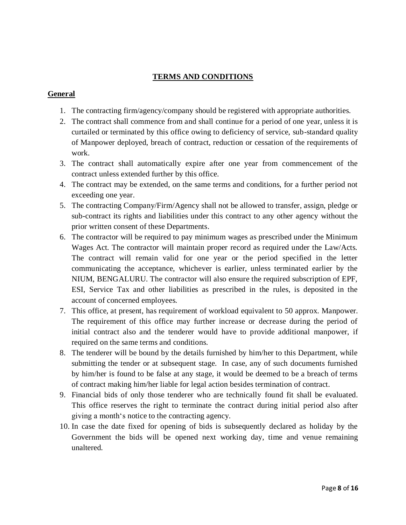#### **TERMS AND CONDITIONS**

#### **General**

- 1. The contracting firm/agency/company should be registered with appropriate authorities.
- 2. The contract shall commence from and shall continue for a period of one year, unless it is curtailed or terminated by this office owing to deficiency of service, sub-standard quality of Manpower deployed, breach of contract, reduction or cessation of the requirements of work.
- 3. The contract shall automatically expire after one year from commencement of the contract unless extended further by this office.
- 4. The contract may be extended, on the same terms and conditions, for a further period not exceeding one year.
- 5. The contracting Company/Firm/Agency shall not be allowed to transfer, assign, pledge or sub-contract its rights and liabilities under this contract to any other agency without the prior written consent of these Departments.
- 6. The contractor will be required to pay minimum wages as prescribed under the Minimum Wages Act. The contractor will maintain proper record as required under the Law/Acts. The contract will remain valid for one year or the period specified in the letter communicating the acceptance, whichever is earlier, unless terminated earlier by the NIUM, BENGALURU. The contractor will also ensure the required subscription of EPF, ESI, Service Tax and other liabilities as prescribed in the rules, is deposited in the account of concerned employees.
- 7. This office, at present, has requirement of workload equivalent to 50 approx. Manpower. The requirement of this office may further increase or decrease during the period of initial contract also and the tenderer would have to provide additional manpower, if required on the same terms and conditions.
- 8. The tenderer will be bound by the details furnished by him/her to this Department, while submitting the tender or at subsequent stage. In case, any of such documents furnished by him/her is found to be false at any stage, it would be deemed to be a breach of terms of contract making him/her liable for legal action besides termination of contract.
- 9. Financial bids of only those tenderer who are technically found fit shall be evaluated. This office reserves the right to terminate the contract during initial period also after giving a month's notice to the contracting agency.
- 10. In case the date fixed for opening of bids is subsequently declared as holiday by the Government the bids will be opened next working day, time and venue remaining unaltered.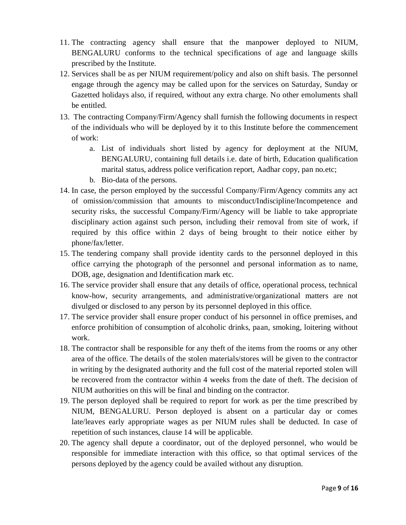- 11. The contracting agency shall ensure that the manpower deployed to NIUM, BENGALURU conforms to the technical specifications of age and language skills prescribed by the Institute.
- 12. Services shall be as per NIUM requirement/policy and also on shift basis. The personnel engage through the agency may be called upon for the services on Saturday, Sunday or Gazetted holidays also, if required, without any extra charge. No other emoluments shall be entitled.
- 13. The contracting Company/Firm/Agency shall furnish the following documents in respect of the individuals who will be deployed by it to this Institute before the commencement of work:
	- a. List of individuals short listed by agency for deployment at the NIUM, BENGALURU, containing full details i.e. date of birth, Education qualification marital status, address police verification report, Aadhar copy, pan no.etc;
	- b. Bio-data of the persons.
- 14. In case, the person employed by the successful Company/Firm/Agency commits any act of omission/commission that amounts to misconduct/Indiscipline/Incompetence and security risks, the successful Company/Firm/Agency will be liable to take appropriate disciplinary action against such person, including their removal from site of work, if required by this office within 2 days of being brought to their notice either by phone/fax/letter.
- 15. The tendering company shall provide identity cards to the personnel deployed in this office carrying the photograph of the personnel and personal information as to name, DOB, age, designation and Identification mark etc.
- 16. The service provider shall ensure that any details of office, operational process, technical know-how, security arrangements, and administrative/organizational matters are not divulged or disclosed to any person by its personnel deployed in this office.
- 17. The service provider shall ensure proper conduct of his personnel in office premises, and enforce prohibition of consumption of alcoholic drinks, paan, smoking, loitering without work.
- 18. The contractor shall be responsible for any theft of the items from the rooms or any other area of the office. The details of the stolen materials/stores will be given to the contractor in writing by the designated authority and the full cost of the material reported stolen will be recovered from the contractor within 4 weeks from the date of theft. The decision of NIUM authorities on this will be final and binding on the contractor.
- 19. The person deployed shall be required to report for work as per the time prescribed by NIUM, BENGALURU. Person deployed is absent on a particular day or comes late/leaves early appropriate wages as per NIUM rules shall be deducted. In case of repetition of such instances, clause 14 will be applicable.
- 20. The agency shall depute a coordinator, out of the deployed personnel, who would be responsible for immediate interaction with this office, so that optimal services of the persons deployed by the agency could be availed without any disruption.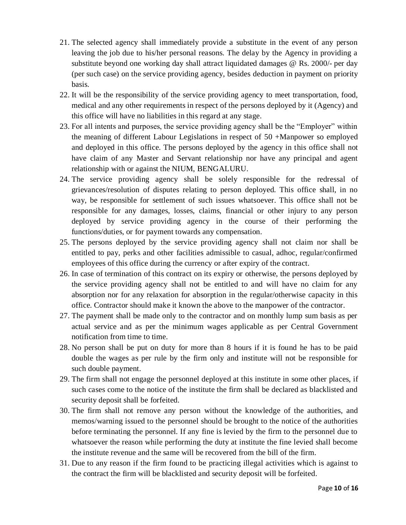- 21. The selected agency shall immediately provide a substitute in the event of any person leaving the job due to his/her personal reasons. The delay by the Agency in providing a substitute beyond one working day shall attract liquidated damages @ Rs. 2000/- per day (per such case) on the service providing agency, besides deduction in payment on priority basis.
- 22. It will be the responsibility of the service providing agency to meet transportation, food, medical and any other requirements in respect of the persons deployed by it (Agency) and this office will have no liabilities in this regard at any stage.
- 23. For all intents and purposes, the service providing agency shall be the "Employer" within the meaning of different Labour Legislations in respect of 50 +Manpower so employed and deployed in this office. The persons deployed by the agency in this office shall not have claim of any Master and Servant relationship nor have any principal and agent relationship with or against the NIUM, BENGALURU.
- 24. The service providing agency shall be solely responsible for the redressal of grievances/resolution of disputes relating to person deployed. This office shall, in no way, be responsible for settlement of such issues whatsoever. This office shall not be responsible for any damages, losses, claims, financial or other injury to any person deployed by service providing agency in the course of their performing the functions/duties, or for payment towards any compensation.
- 25. The persons deployed by the service providing agency shall not claim nor shall be entitled to pay, perks and other facilities admissible to casual, adhoc, regular/confirmed employees of this office during the currency or after expiry of the contract.
- 26. In case of termination of this contract on its expiry or otherwise, the persons deployed by the service providing agency shall not be entitled to and will have no claim for any absorption nor for any relaxation for absorption in the regular/otherwise capacity in this office. Contractor should make it known the above to the manpower of the contractor.
- 27. The payment shall be made only to the contractor and on monthly lump sum basis as per actual service and as per the minimum wages applicable as per Central Government notification from time to time.
- 28. No person shall be put on duty for more than 8 hours if it is found he has to be paid double the wages as per rule by the firm only and institute will not be responsible for such double payment.
- 29. The firm shall not engage the personnel deployed at this institute in some other places, if such cases come to the notice of the institute the firm shall be declared as blacklisted and security deposit shall be forfeited.
- 30. The firm shall not remove any person without the knowledge of the authorities, and memos/warning issued to the personnel should be brought to the notice of the authorities before terminating the personnel. If any fine is levied by the firm to the personnel due to whatsoever the reason while performing the duty at institute the fine levied shall become the institute revenue and the same will be recovered from the bill of the firm.
- 31. Due to any reason if the firm found to be practicing illegal activities which is against to the contract the firm will be blacklisted and security deposit will be forfeited.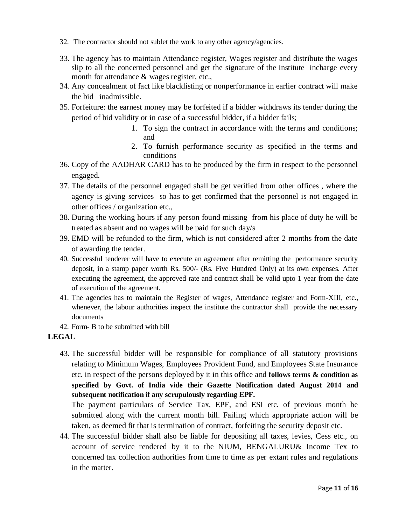- 32. The contractor should not sublet the work to any other agency/agencies.
- 33. The agency has to maintain Attendance register, Wages register and distribute the wages slip to all the concerned personnel and get the signature of the institute incharge every month for attendance & wages register, etc.,
- 34. Any concealment of fact like blacklisting or nonperformance in earlier contract will make the bid inadmissible.
- 35. Forfeiture: the earnest money may be forfeited if a bidder withdraws its tender during the period of bid validity or in case of a successful bidder, if a bidder fails;
	- 1. To sign the contract in accordance with the terms and conditions; and
	- 2. To furnish performance security as specified in the terms and conditions
- 36. Copy of the AADHAR CARD has to be produced by the firm in respect to the personnel engaged.
- 37. The details of the personnel engaged shall be get verified from other offices , where the agency is giving services so has to get confirmed that the personnel is not engaged in other offices / organization etc.,
- 38. During the working hours if any person found missing from his place of duty he will be treated as absent and no wages will be paid for such day/s
- 39. EMD will be refunded to the firm, which is not considered after 2 months from the date of awarding the tender.
- 40. Successful tenderer will have to execute an agreement after remitting the performance security deposit, in a stamp paper worth Rs. 500/- (Rs. Five Hundred Only) at its own expenses. After executing the agreement, the approved rate and contract shall be valid upto 1 year from the date of execution of the agreement.
- 41. The agencies has to maintain the Register of wages, Attendance register and Form-XIII, etc., whenever, the labour authorities inspect the institute the contractor shall provide the necessary documents
- 42. Form- B to be submitted with bill

#### **LEGAL**

43. The successful bidder will be responsible for compliance of all statutory provisions relating to Minimum Wages, Employees Provident Fund, and Employees State Insurance etc. in respect of the persons deployed by it in this office and **follows terms & condition as specified by Govt. of India vide their Gazette Notification dated August 2014 and subsequent notification if any scrupulously regarding EPF.** 

The payment particulars of Service Tax, EPF, and ESI etc. of previous month be submitted along with the current month bill. Failing which appropriate action will be taken, as deemed fit that is termination of contract, forfeiting the security deposit etc.

44. The successful bidder shall also be liable for depositing all taxes, levies, Cess etc., on account of service rendered by it to the NIUM, BENGALURU& Income Tex to concerned tax collection authorities from time to time as per extant rules and regulations in the matter.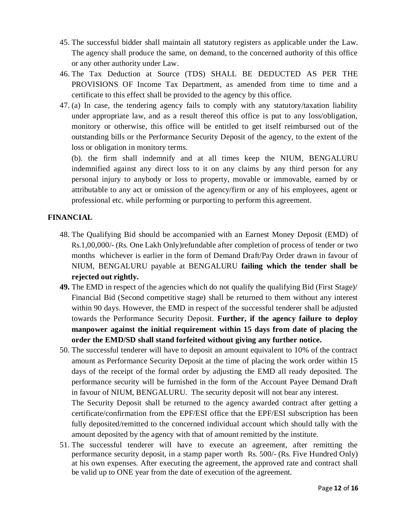- 45. The successful bidder shall maintain all statutory registers as applicable under the Law. The agency shall produce the same, on demand, to the concerned authority of this office or any other authority under Law.
- 46. The Tax Deduction at Source (TDS) SHALL BE DEDUCTED AS PER THE PROVISIONS OF Income Tax Department, as amended from time to time and a certificate to this effect shall be provided to the agency by this office.
- 47. (a) In case, the tendering agency fails to comply with any statutory/taxation liability under appropriate law, and as a result thereof this office is put to any loss/obligation, monitory or otherwise, this office will be entitled to get itself reimbursed out of the outstanding bills or the Performance Security Deposit of the agency, to the extent of the loss or obligation in monitory terms.

(b). the firm shall indemnify and at all times keep the NIUM, BENGALURU indemnified against any direct loss to it on any claims by any third person for any personal injury to anybody or loss to property, movable or immovable, earned by or attributable to any act or omission of the agency/firm or any of his employees, agent or professional etc. while performing or purporting to perform this agreement.

#### **FINANCIAL**

- 48. The Qualifying Bid should be accompanied with an Earnest Money Deposit (EMD) of Rs.1,00,000/- (Rs. One Lakh Only)refundable after completion of process of tender or two months whichever is earlier in the form of Demand Draft/Pay Order drawn in favour of NIUM, BENGALURU payable at BENGALURU **failing which the tender shall be rejected out rightly.**
- **49.** The EMD in respect of the agencies which do not qualify the qualifying Bid (First Stage)/ Financial Bid (Second competitive stage) shall be returned to them without any interest within 90 days. However, the EMD in respect of the successful tenderer shall be adjusted towards the Performance Security Deposit. **Further, if the agency failure to deploy manpower against the initial requirement within 15 days from date of placing the order the EMD/SD shall stand forfeited without giving any further notice.**
- 50. The successful tenderer will have to deposit an amount equivalent to 10% of the contract amount as Performance Security Deposit at the time of placing the work order within 15 days of the receipt of the formal order by adjusting the EMD all ready deposited. The performance security will be furnished in the form of the Account Payee Demand Draft in favour of NIUM, BENGALURU. The security deposit will not bear any interest. The Security Deposit shall be returned to the agency awarded contract after getting a certificate/confirmation from the EPF/ESI office that the EPF/ESI subscription has been fully deposited/remitted to the concerned individual account which should tally with the amount deposited by the agency with that of amount remitted by the institute.
- 51. The successful tenderer will have to execute an agreement, after remitting the performance security deposit, in a stamp paper worth Rs. 500/- (Rs. Five Hundred Only) at his own expenses. After executing the agreement, the approved rate and contract shall be valid up to ONE year from the date of execution of the agreement.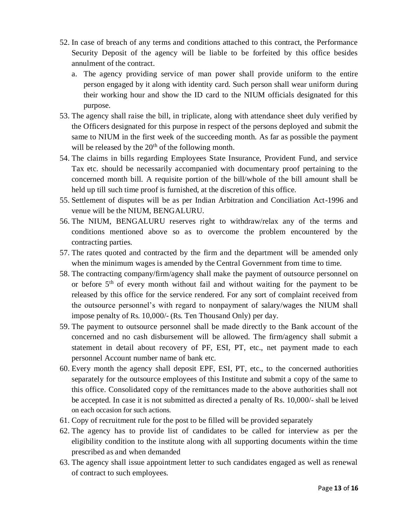- 52. In case of breach of any terms and conditions attached to this contract, the Performance Security Deposit of the agency will be liable to be forfeited by this office besides annulment of the contract.
	- a. The agency providing service of man power shall provide uniform to the entire person engaged by it along with identity card. Such person shall wear uniform during their working hour and show the ID card to the NIUM officials designated for this purpose.
- 53. The agency shall raise the bill, in triplicate, along with attendance sheet duly verified by the Officers designated for this purpose in respect of the persons deployed and submit the same to NIUM in the first week of the succeeding month. As far as possible the payment will be released by the  $20<sup>th</sup>$  of the following month.
- 54. The claims in bills regarding Employees State Insurance, Provident Fund, and service Tax etc. should be necessarily accompanied with documentary proof pertaining to the concerned month bill. A requisite portion of the bill/whole of the bill amount shall be held up till such time proof is furnished, at the discretion of this office.
- 55. Settlement of disputes will be as per Indian Arbitration and Conciliation Act-1996 and venue will be the NIUM, BENGALURU.
- 56. The NIUM, BENGALURU reserves right to withdraw/relax any of the terms and conditions mentioned above so as to overcome the problem encountered by the contracting parties.
- 57. The rates quoted and contracted by the firm and the department will be amended only when the minimum wages is amended by the Central Government from time to time.
- 58. The contracting company/firm/agency shall make the payment of outsource personnel on or before 5th of every month without fail and without waiting for the payment to be released by this office for the service rendered. For any sort of complaint received from the outsource personnel's with regard to nonpayment of salary/wages the NIUM shall impose penalty of Rs. 10,000/- (Rs. Ten Thousand Only) per day.
- 59. The payment to outsource personnel shall be made directly to the Bank account of the concerned and no cash disbursement will be allowed. The firm/agency shall submit a statement in detail about recovery of PF, ESI, PT, etc., net payment made to each personnel Account number name of bank etc.
- 60. Every month the agency shall deposit EPF, ESI, PT, etc., to the concerned authorities separately for the outsource employees of this Institute and submit a copy of the same to this office. Consolidated copy of the remittances made to the above authorities shall not be accepted. In case it is not submitted as directed a penalty of Rs. 10,000/- shall be leived on each occasion for such actions.
- 61. Copy of recruitment rule for the post to be filled will be provided separately
- 62. The agency has to provide list of candidates to be called for interview as per the eligibility condition to the institute along with all supporting documents within the time prescribed as and when demanded
- 63. The agency shall issue appointment letter to such candidates engaged as well as renewal of contract to such employees.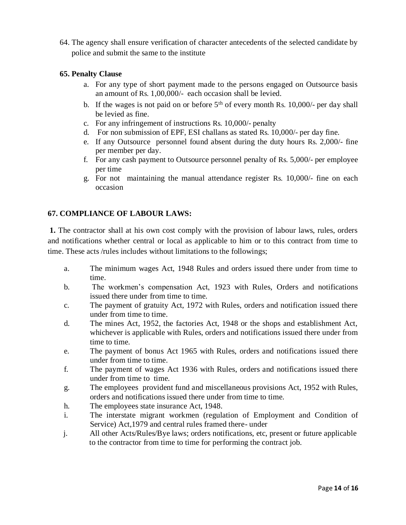64. The agency shall ensure verification of character antecedents of the selected candidate by police and submit the same to the institute

#### **65. Penalty Clause**

- a. For any type of short payment made to the persons engaged on Outsource basis an amount of Rs. 1,00,000/- each occasion shall be levied.
- b. If the wages is not paid on or before  $5<sup>th</sup>$  of every month Rs. 10,000/- per day shall be levied as fine.
- c. For any infringement of instructions Rs. 10,000/- penalty
- d. For non submission of EPF, ESI challans as stated Rs. 10,000/- per day fine.
- e. If any Outsource personnel found absent during the duty hours Rs. 2,000/- fine per member per day.
- f. For any cash payment to Outsource personnel penalty of Rs. 5,000/- per employee per time
- g. For not maintaining the manual attendance register Rs. 10,000/- fine on each occasion

#### **67. COMPLIANCE OF LABOUR LAWS:**

**1.** The contractor shall at his own cost comply with the provision of labour laws, rules, orders and notifications whether central or local as applicable to him or to this contract from time to time. These acts /rules includes without limitations to the followings;

- a. The minimum wages Act, 1948 Rules and orders issued there under from time to time.
- b. The workmen's compensation Act, 1923 with Rules, Orders and notifications issued there under from time to time.
- c. The payment of gratuity Act, 1972 with Rules, orders and notification issued there under from time to time.
- d. The mines Act, 1952, the factories Act, 1948 or the shops and establishment Act, whichever is applicable with Rules, orders and notifications issued there under from time to time.
- e. The payment of bonus Act 1965 with Rules, orders and notifications issued there under from time to time.
- f. The payment of wages Act 1936 with Rules, orders and notifications issued there under from time to time.
- g. The employees provident fund and miscellaneous provisions Act, 1952 with Rules, orders and notifications issued there under from time to time.
- h. The employees state insurance Act, 1948.
- i. The interstate migrant workmen (regulation of Employment and Condition of Service) Act,1979 and central rules framed there- under
- j. All other Acts/Rules/Bye laws; orders notifications, etc, present or future applicable to the contractor from time to time for performing the contract job.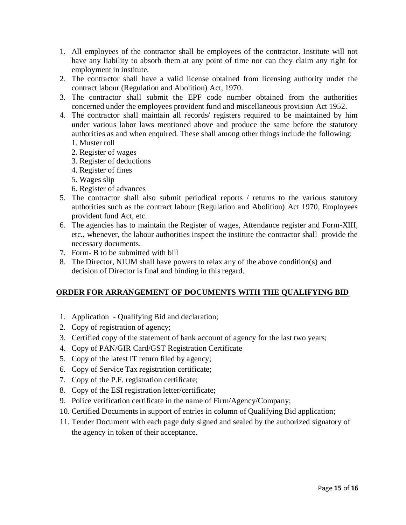- 1. All employees of the contractor shall be employees of the contractor. Institute will not have any liability to absorb them at any point of time nor can they claim any right for employment in institute.
- 2. The contractor shall have a valid license obtained from licensing authority under the contract labour (Regulation and Abolition) Act, 1970.
- 3. The contractor shall submit the EPF code number obtained from the authorities concerned under the employees provident fund and miscellaneous provision Act 1952.
- 4. The contractor shall maintain all records/ registers required to be maintained by him under various labor laws mentioned above and produce the same before the statutory authorities as and when enquired. These shall among other things include the following:
	- 1. Muster roll
	- 2. Register of wages
	- 3. Register of deductions
	- 4. Register of fines
	- 5. Wages slip
	- 6. Register of advances
- 5. The contractor shall also submit periodical reports / returns to the various statutory authorities such as the contract labour (Regulation and Abolition) Act 1970, Employees provident fund Act, etc.
- 6. The agencies has to maintain the Register of wages, Attendance register and Form-XIII, etc., whenever, the labour authorities inspect the institute the contractor shall provide the necessary documents.
- 7. Form- B to be submitted with bill
- 8. The Director, NIUM shall have powers to relax any of the above condition(s) and decision of Director is final and binding in this regard.

#### **ORDER FOR ARRANGEMENT OF DOCUMENTS WITH THE QUALIFYING BID**

- 1. Application Qualifying Bid and declaration;
- 2. Copy of registration of agency;
- 3. Certified copy of the statement of bank account of agency for the last two years;
- 4. Copy of PAN/GIR Card/GST Registration Certificate
- 5. Copy of the latest IT return filed by agency;
- 6. Copy of Service Tax registration certificate;
- 7. Copy of the P.F. registration certificate;
- 8. Copy of the ESI registration letter/certificate;
- 9. Police verification certificate in the name of Firm/Agency/Company;
- 10. Certified Documents in support of entries in column of Qualifying Bid application;
- 11. Tender Document with each page duly signed and sealed by the authorized signatory of the agency in token of their acceptance.